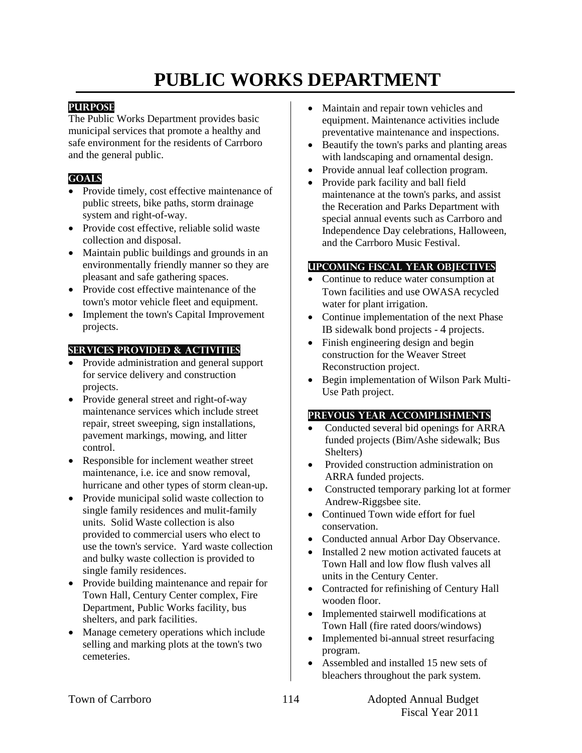# **PUBLIC WORKS DEPARTMENT**

## **PURPOSE**

The Public Works Department provides basic municipal services that promote a healthy and safe environment for the residents of Carrboro and the general public.

## **GOALS**

- Provide timely, cost effective maintenance of public streets, bike paths, storm drainage system and right-of-way.
- Provide cost effective, reliable solid waste collection and disposal.
- Maintain public buildings and grounds in an environmentally friendly manner so they are pleasant and safe gathering spaces.
- Provide cost effective maintenance of the town's motor vehicle fleet and equipment.
- Implement the town's Capital Improvement projects.

## **SeRvices PROVIDED & ACTIVITIES**

- Provide administration and general support for service delivery and construction projects.
- Provide general street and right-of-way maintenance services which include street repair, street sweeping, sign installations, pavement markings, mowing, and litter control.
- Responsible for inclement weather street maintenance, i.e. ice and snow removal, hurricane and other types of storm clean-up.
- Provide municipal solid waste collection to single family residences and mulit-family units. Solid Waste collection is also provided to commercial users who elect to use the town's service. Yard waste collection and bulky waste collection is provided to single family residences.
- Provide building maintenance and repair for Town Hall, Century Center complex, Fire Department, Public Works facility, bus shelters, and park facilities.
- Manage cemetery operations which include selling and marking plots at the town's two cemeteries.
- Maintain and repair town vehicles and equipment. Maintenance activities include preventative maintenance and inspections.
- Beautify the town's parks and planting areas with landscaping and ornamental design.
- Provide annual leaf collection program.
- Provide park facility and ball field maintenance at the town's parks, and assist the Receration and Parks Department with special annual events such as Carrboro and Independence Day celebrations, Halloween, and the Carrboro Music Festival.

## **UPCOMING FISCAL YEAR OBJECTIVES**

- Continue to reduce water consumption at Town facilities and use OWASA recycled water for plant irrigation.
- Continue implementation of the next Phase IB sidewalk bond projects - 4 projects.
- Finish engineering design and begin construction for the Weaver Street Reconstruction project.
- Begin implementation of Wilson Park Multi-Use Path project.

## **PREVOUS YEAR ACCOMPLISHMENTS**

- Conducted several bid openings for ARRA funded projects (Bim/Ashe sidewalk; Bus Shelters)
- Provided construction administration on ARRA funded projects.
- Constructed temporary parking lot at former Andrew-Riggsbee site.
- Continued Town wide effort for fuel conservation.
- Conducted annual Arbor Day Observance.
- Installed 2 new motion activated faucets at Town Hall and low flow flush valves all units in the Century Center.
- Contracted for refinishing of Century Hall wooden floor.
- Implemented stairwell modifications at Town Hall (fire rated doors/windows)
- Implemented bi-annual street resurfacing program.
- Assembled and installed 15 new sets of bleachers throughout the park system.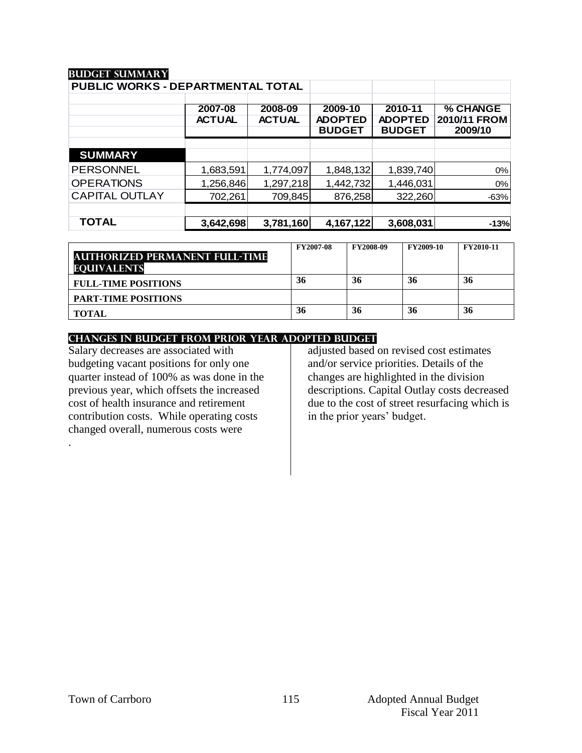### **Budget summary**

| PUBLIC WORKS - DEPARTMENTAL TOTAL |                          |                          |                                            |                                            |                                     |
|-----------------------------------|--------------------------|--------------------------|--------------------------------------------|--------------------------------------------|-------------------------------------|
|                                   | 2007-08<br><b>ACTUAL</b> | 2008-09<br><b>ACTUAL</b> | 2009-10<br><b>ADOPTED</b><br><b>BUDGET</b> | 2010-11<br><b>ADOPTED</b><br><b>BUDGET</b> | % CHANGE<br>2010/11 FROM<br>2009/10 |
| <b>SUMMARY</b>                    |                          |                          |                                            |                                            |                                     |
| <b>PERSONNEL</b>                  | 1,683,591                | 1,774,097                | 1,848,132                                  | 1,839,740                                  | 0%                                  |
| <b>OPERATIONS</b>                 | 1,256,846                | 1,297,218                | 1,442,732                                  | 1,446,031                                  | 0%                                  |
| <b>CAPITAL OUTLAY</b>             | 702,261                  | 709,845                  | 876,258                                    | 322,260                                    | $-63%$                              |
|                                   |                          |                          |                                            |                                            |                                     |
| <b>TOTAL</b>                      | 3,642,698                | 3,781,160                | 4,167,122                                  | 3,608,031                                  | $-13%$                              |

| <b>AUTHORIZED PERMANENT FULL-TIME</b><br><b>EQUIVALENTS</b> | <b>FY2007-08</b> | <b>FY2008-09</b> | FY2009-10 | FY2010-11 |
|-------------------------------------------------------------|------------------|------------------|-----------|-----------|
| <b>FULL-TIME POSITIONS</b>                                  | 36               | 36               | 36        | 36        |
| <b>PART-TIME POSITIONS</b>                                  |                  |                  |           |           |
| <b>TOTAL</b>                                                | 36               | 36               | 36        | 36        |

#### **CHANGES IN BUDGET from PRIOR YEAR ADOPTED BUDGET**

Salary decreases are associated with budgeting vacant positions for only one quarter instead of 100% as was done in the previous year, which offsets the increased cost of health insurance and retirement contribution costs. While operating costs changed overall, numerous costs were

adjusted based on revised cost estimates and/or service priorities. Details of the changes are highlighted in the division descriptions. Capital Outlay costs decreased due to the cost of street resurfacing which is in the prior years' budget.

.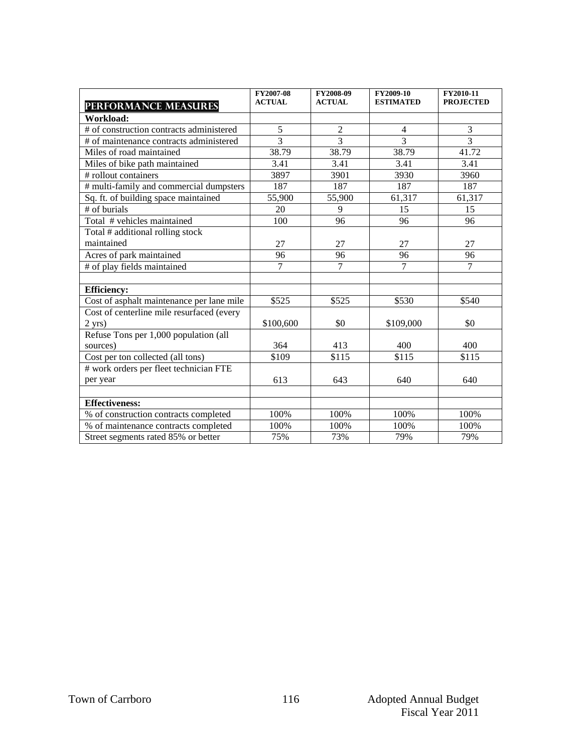|                                           | FY2007-08      | FY2008-09      | FY2009-10        | FY2010-11        |
|-------------------------------------------|----------------|----------------|------------------|------------------|
| PERFORMANCE MEASURES                      | <b>ACTUAL</b>  | <b>ACTUAL</b>  | <b>ESTIMATED</b> | <b>PROJECTED</b> |
| Workload:                                 |                |                |                  |                  |
| # of construction contracts administered  | $\overline{5}$ | $\overline{2}$ | $\overline{4}$   | $\overline{3}$   |
| # of maintenance contracts administered   | 3              | $\overline{3}$ | 3                | $\overline{3}$   |
| Miles of road maintained                  | 38.79          | 38.79          | 38.79            | 41.72            |
| Miles of bike path maintained             | 3.41           | 3.41           | 3.41             | 3.41             |
| # rollout containers                      | 3897           | 3901           | 3930             | 3960             |
| # multi-family and commercial dumpsters   | 187            | 187            | 187              | 187              |
| Sq. ft. of building space maintained      | 55,900         | 55,900         | 61,317           | 61,317           |
| $#$ of burials                            | 20             | $\mathbf{Q}$   | $\overline{15}$  | $\overline{15}$  |
| Total $#$ vehicles maintained             | 100            | 96             | 96               | 96               |
| Total # additional rolling stock          |                |                |                  |                  |
| maintained                                | 27             | 27             | 27               | 27               |
| Acres of park maintained                  | 96             | 96             | 96               | 96               |
| # of play fields maintained               | $\overline{7}$ | $\overline{7}$ | $\overline{7}$   | $\overline{7}$   |
|                                           |                |                |                  |                  |
| <b>Efficiency:</b>                        |                |                |                  |                  |
| Cost of asphalt maintenance per lane mile | \$525          | \$525          | \$530            | \$540            |
| Cost of centerline mile resurfaced (every |                |                |                  |                  |
| $2$ yrs)                                  | \$100,600      | \$0            | \$109,000        | \$0              |
| Refuse Tons per 1,000 population (all     |                |                |                  |                  |
| sources)                                  | 364            | 413            | 400              | 400              |
| Cost per ton collected (all tons)         | \$109          | \$115          | \$115            | \$115            |
| # work orders per fleet technician FTE    |                |                |                  |                  |
| per year                                  | 613            | 643            | 640              | 640              |
|                                           |                |                |                  |                  |
| <b>Effectiveness:</b>                     |                |                |                  |                  |
| % of construction contracts completed     | 100%           | 100%           | 100%             | 100%             |
| % of maintenance contracts completed      | 100%           | 100%           | 100%             | 100%             |
| Street segments rated 85% or better       | 75%            | 73%            | 79%              | 79%              |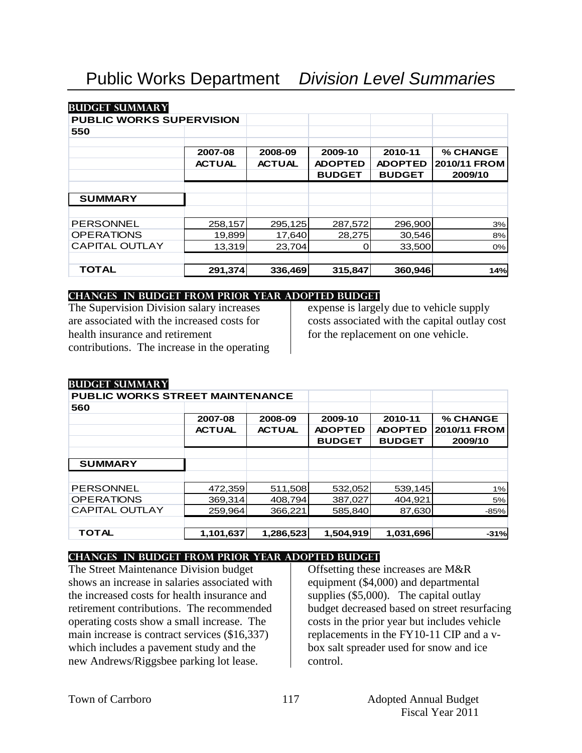#### **Budget summary**

## **PUBLIC WORKS SUPERVISION**

| ו טטניו בו סט סאורש א |               |               |                |                |              |
|-----------------------|---------------|---------------|----------------|----------------|--------------|
| 550                   |               |               |                |                |              |
|                       | 2007-08       | 2008-09       | 2009-10        | 2010-11        | % CHANGE     |
|                       | <b>ACTUAL</b> | <b>ACTUAL</b> | <b>ADOPTED</b> | <b>ADOPTED</b> | 2010/11 FROM |
|                       |               |               | <b>BUDGET</b>  | <b>BUDGET</b>  | 2009/10      |
|                       |               |               |                |                |              |
| <b>SUMMARY</b>        |               |               |                |                |              |
|                       |               |               |                |                |              |
| <b>PERSONNEL</b>      | 258,157       | 295,125       | 287,572        | 296,900        | 3%           |
| <b>OPERATIONS</b>     | 19,899        | 17,640        | 28,275         | 30,546         | 8%           |
| <b>CAPITAL OUTLAY</b> | 13,319        | 23,704        | O              | 33,500         | 0%           |
|                       |               |               |                |                |              |
| <b>TOTAL</b>          | 291,374       | 336,469       | 315,847        | 360,946        | 14%          |

#### **changes in budget from prior year adopted budget**

The Supervision Division salary increases are associated with the increased costs for health insurance and retirement contributions. The increase in the operating expense is largely due to vehicle supply costs associated with the capital outlay cost for the replacement on one vehicle.

| <b>BUDGET SUMMARY</b>                  |               |               |                |                |                     |  |  |
|----------------------------------------|---------------|---------------|----------------|----------------|---------------------|--|--|
| <b>PUBLIC WORKS STREET MAINTENANCE</b> |               |               |                |                |                     |  |  |
| 560                                    |               |               |                |                |                     |  |  |
|                                        | 2007-08       | 2008-09       | 2009-10        | 2010-11        | % CHANGE            |  |  |
|                                        | <b>ACTUAL</b> | <b>ACTUAL</b> | <b>ADOPTED</b> | <b>ADOPTED</b> | <b>2010/11 FROM</b> |  |  |
|                                        |               |               | <b>BUDGET</b>  | <b>BUDGET</b>  | 2009/10             |  |  |
|                                        |               |               |                |                |                     |  |  |
| <b>SUMMARY</b>                         |               |               |                |                |                     |  |  |
|                                        |               |               |                |                |                     |  |  |
| <b>PERSONNEL</b>                       | 472,359       | 511,508       | 532,052        | 539,145        | 1%                  |  |  |
| <b>OPERATIONS</b>                      | 369.314       | 408.794       | 387,027        | 404.921        | 5%                  |  |  |
| <b>CAPITAL OUTLAY</b>                  | 259,964       | 366,221       | 585,840        | 87,630         | $-85%$              |  |  |
|                                        |               |               |                |                |                     |  |  |
| TOTAL                                  | 1,101,637     | 1,286,523     | 1,504,919      | 1,031,696      | $-31%$              |  |  |

#### **changes in budget from prior year adopted budget**

The Street Maintenance Division budget shows an increase in salaries associated with the increased costs for health insurance and retirement contributions. The recommended operating costs show a small increase. The main increase is contract services (\$16,337) which includes a pavement study and the new Andrews/Riggsbee parking lot lease.

Offsetting these increases are M&R equipment (\$4,000) and departmental supplies (\$5,000). The capital outlay budget decreased based on street resurfacing costs in the prior year but includes vehicle replacements in the FY10-11 CIP and a vbox salt spreader used for snow and ice control.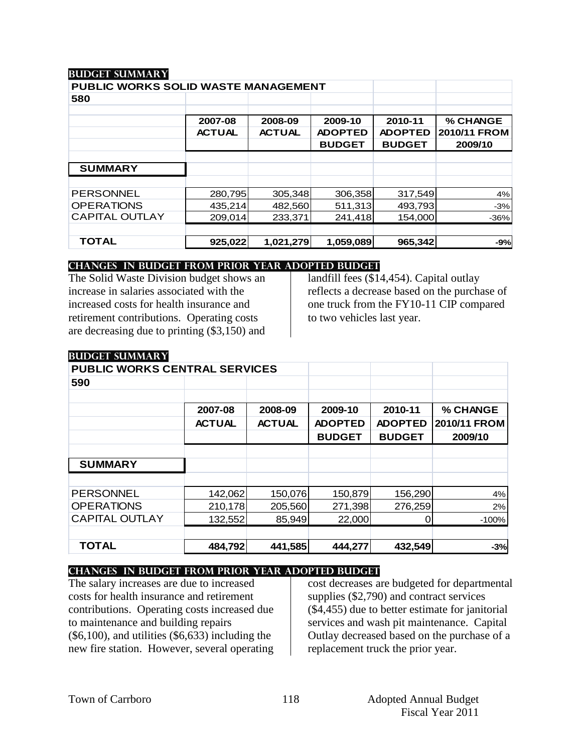#### **Budget summary**

**Budget summary**

| PUBLIC WORKS SOLID WASTE MANAGEMENT |               |               |                |                |              |
|-------------------------------------|---------------|---------------|----------------|----------------|--------------|
| 580                                 |               |               |                |                |              |
|                                     |               |               |                |                |              |
|                                     | 2007-08       | 2008-09       | 2009-10        | 2010-11        | % CHANGE     |
|                                     | <b>ACTUAL</b> | <b>ACTUAL</b> | <b>ADOPTED</b> | <b>ADOPTED</b> | 2010/11 FROM |
|                                     |               |               | <b>BUDGET</b>  | <b>BUDGET</b>  | 2009/10      |
|                                     |               |               |                |                |              |
| <b>SUMMARY</b>                      |               |               |                |                |              |
|                                     |               |               |                |                |              |
| <b>PERSONNEL</b>                    | 280,795       | 305,348       | 306,358        | 317,549        | 4%           |
| <b>OPERATIONS</b>                   | 435,214       | 482,560       | 511,313        | 493,793        | $-3%$        |
| <b>CAPITAL OUTLAY</b>               | 209.014       | 233.371       | 241.418        | 154,000        | $-36%$       |
|                                     |               |               |                |                |              |
| <b>TOTAL</b>                        | 925,022       | 1,021,279     | 1,059,089      | 965,342        | $-9%$        |

## **changes in budget from prior year adopted budget**

The Solid Waste Division budget shows an increase in salaries associated with the increased costs for health insurance and retirement contributions. Operating costs are decreasing due to printing (\$3,150) and landfill fees (\$14,454). Capital outlay reflects a decrease based on the purchase of one truck from the FY10-11 CIP compared to two vehicles last year.

| DUDULI DUNINIAA                      |               |               |                |                |              |
|--------------------------------------|---------------|---------------|----------------|----------------|--------------|
| <b>PUBLIC WORKS CENTRAL SERVICES</b> |               |               |                |                |              |
| 590                                  |               |               |                |                |              |
|                                      |               |               |                |                |              |
|                                      | 2007-08       | 2008-09       | 2009-10        | 2010-11        | % CHANGE     |
|                                      | <b>ACTUAL</b> | <b>ACTUAL</b> | <b>ADOPTED</b> | <b>ADOPTED</b> | 2010/11 FROM |
|                                      |               |               | <b>BUDGET</b>  | <b>BUDGET</b>  | 2009/10      |
|                                      |               |               |                |                |              |
| <b>SUMMARY</b>                       |               |               |                |                |              |
|                                      |               |               |                |                |              |
| <b>PERSONNEL</b>                     | 142,062       | 150,076       | 150,879        | 156,290        | 4%           |
| <b>OPERATIONS</b>                    | 210,178       | 205,560       | 271,398        | 276,259        | 2%           |
| <b>CAPITAL OUTLAY</b>                | 132,552       | 85,949        | 22,000         |                | $-100%$      |
|                                      |               |               |                |                |              |
| <b>TOTAL</b>                         | 484,792       | 441,585       | 444,277        | 432,549        | $-3%$        |

#### **changes in budget from prior year adopted budget**

The salary increases are due to increased costs for health insurance and retirement contributions. Operating costs increased due to maintenance and building repairs (\$6,100), and utilities (\$6,633) including the new fire station. However, several operating

cost decreases are budgeted for departmental supplies (\$2,790) and contract services (\$4,455) due to better estimate for janitorial services and wash pit maintenance. Capital Outlay decreased based on the purchase of a replacement truck the prior year.